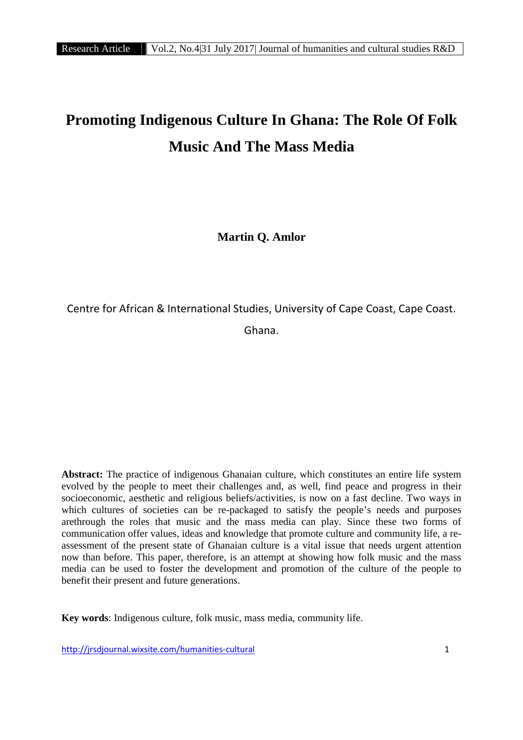# **Promoting Indigenous Culture In Ghana: The Role Of Folk Music And The Mass Media**

**Martin Q. Amlor**

Centre for African & International Studies, University of Cape Coast, Cape Coast.

Ghana.

**Abstract:** The practice of indigenous Ghanaian culture, which constitutes an entire life system evolved by the people to meet their challenges and, as well, find peace and progress in their socioeconomic, aesthetic and religious beliefs/activities, is now on a fast decline. Two ways in which cultures of societies can be re-packaged to satisfy the people's needs and purposes arethrough the roles that music and the mass media can play. Since these two forms of communication offer values, ideas and knowledge that promote culture and community life, a re assessment of the present state of Ghanaian culture is a vital issue that needs urgent attention now than before. This paper, therefore, is an attempt at showing how folk music and the mass media can be used to foster the development and promotion of the culture of the people to benefit their present and future generations.

**Key words**: Indigenous culture, folk music, mass media, community life.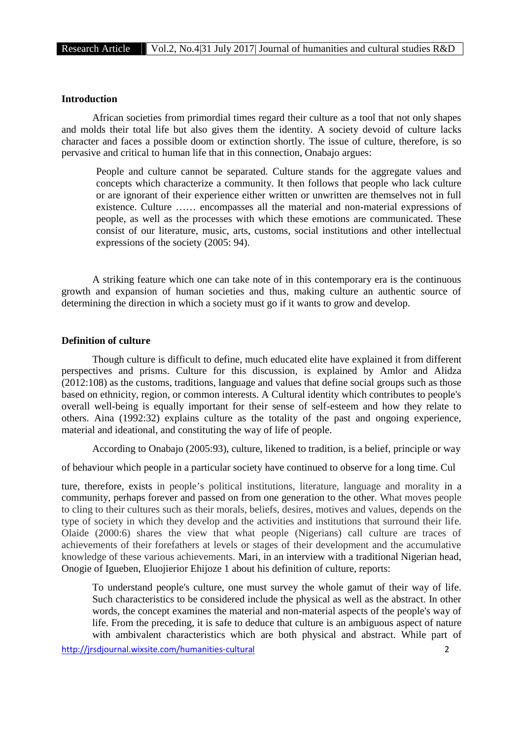## **Introduction**

African societies from primordial times regard their culture as a tool that not only shapes and molds their total life but also gives them the identity. A society devoid of culture lacks character and faces a possible doom or extinction shortly. The issue of culture, therefore, is so pervasive and critical to human life that in this connection, Onabajo argues:

People and culture cannot be separated. Culture stands for the aggregate values and concepts which characterize a community. It then follows that people who lack culture or are ignorant of their experience either written or unwritten are themselves not in full existence. Culture …… encompasses all the material and non-material expressions of people, as well as the processes with which these emotions are communicated. These consist of our literature, music, arts, customs, social institutions and other intellectual expressions of the society (2005: 94).

A striking feature which one can take note of in this contemporary era is the continuous growth and expansion of human societies and thus, making culture an authentic source of determining the direction in which a society must go if it wants to grow and develop.

### **Definition of culture**

Though culture is difficult to define, much educated elite have explained it from different perspectives and prisms. Culture for this discussion, is explained by Amlor and Alidza (2012:108) as the customs, traditions, language and values that define social groups such as those based on ethnicity, region, or common interests. A Cultural identity which contributes to people's overall well-being is equally important for their sense of self-esteem and how they relate to others. Aina (1992:32) explains culture as the totality of the past and ongoing experience, material and ideational, and constituting the way of life of people.

According to Onabajo (2005:93), culture, likened to tradition, is a belief, principle or way

of behaviour which people in a particular society have continued to observe for a long time. Cul

ture, therefore, exists in people's political institutions, literature, language and morality in a community, perhaps forever and passed on from one generation to the other. What moves people to cling to their cultures such as their morals, beliefs, desires, motives and values, depends on the type of society in which they develop and the activities and institutions that surround their life. Olaide (2000:6) shares the view that what people (Nigerians) call culture are traces of achievements of their forefathers at levels or stages of their development and the accumulative knowledge of these various achievements. Mari, in an interview with a traditional Nigerian head, Onogie of Igueben, Eluojierior Ehijoze 1 about his definition of culture, reports:

To understand people's culture, one must survey the whole gamut of their way of life. Such characteristics to be considered include the physical as well as the abstract. In other words, the concept examines the material and non-material aspects of the people's way of life. From the preceding, it is safe to deduce that culture is an ambiguous aspect of nature with ambivalent characteristics which are both physical and abstract. While part of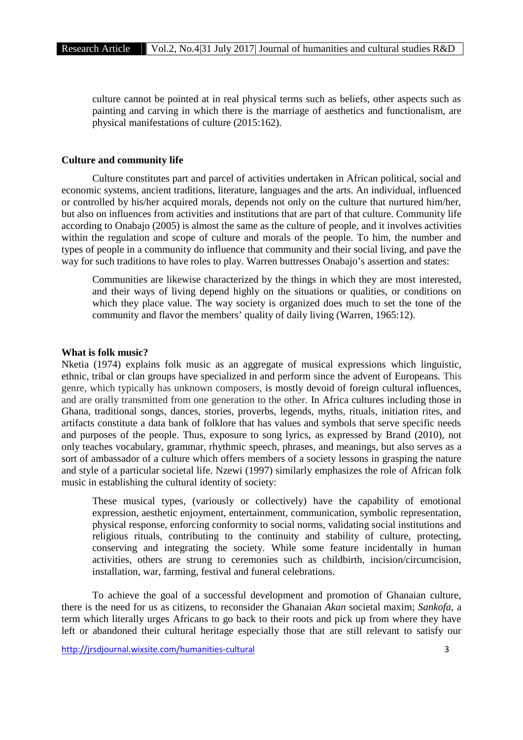culture cannot be pointed at in real physical terms such as beliefs, other aspects such as painting and carving in which there is the marriage of aesthetics and functionalism, are physical manifestations of culture (2015:162).

#### **Culture and community life**

Culture constitutes part and parcel of activities undertaken in African political, social and economic systems, ancient traditions, literature, languages and the arts. An individual, influenced or controlled by his/her acquired morals, depends not only on the culture that nurtured him/her, but also on influences from activities and institutions that are part of that culture. Community life according to Onabajo (2005) is almost the same as the culture of people, and it involves activities within the regulation and scope of culture and morals of the people. To him, the number and types of people in a community do influence that community and their social living, and pave the way for such traditions to have roles to play. Warren buttresses Onabajo's assertion and states:

Communities are likewise characterized by the things in which they are most interested, and their ways of living depend highly on the situations or qualities, or conditions on which they place value. The way society is organized does much to set the tone of the community and flavor the members' quality of daily living (Warren, 1965:12).

#### **What is folk music?**

Nketia (1974) explains folk music as an aggregate of musical expressions which linguistic, ethnic, tribal or clan groups have specialized in and perform since the advent of Europeans. This genre, which typically has unknown composers, is mostly devoid of foreign cultural influences, and are orally transmitted from one generation to the other. In Africa cultures including those in Ghana, traditional songs, dances, stories, proverbs, legends, myths, rituals, initiation rites, and artifacts constitute a data bank of folklore that has values and symbols that serve specific needs and purposes of the people. Thus, exposure to song lyrics, as expressed by Brand (2010), not only teaches vocabulary, grammar, rhythmic speech, phrases, and meanings, but also serves as a sort of ambassador of a culture which offers members of a society lessons in grasping the nature and style of a particular societal life. Nzewi (1997) similarly emphasizes the role of African folk music in establishing the cultural identity of society:

These musical types, (variously or collectively) have the capability of emotional expression, aesthetic enjoyment, entertainment, communication, symbolic representation, physical response, enforcing conformity to social norms, validating social institutions and religious rituals, contributing to the continuity and stability of culture, protecting, conserving and integrating the society. While some feature incidentally in human activities, others are strung to ceremonies such as childbirth, incision/circumcision, installation, war, farming, festival and funeral celebrations.

To achieve the goal of a successful development and promotion of Ghanaian culture, there is the need for us as citizens, to reconsider the Ghanaian *Akan* societal maxim; *Sankofa*, a term which literally urges Africans to go back to their roots and pick up from where they have left or abandoned their cultural heritage especially those that are still relevant to satisfy our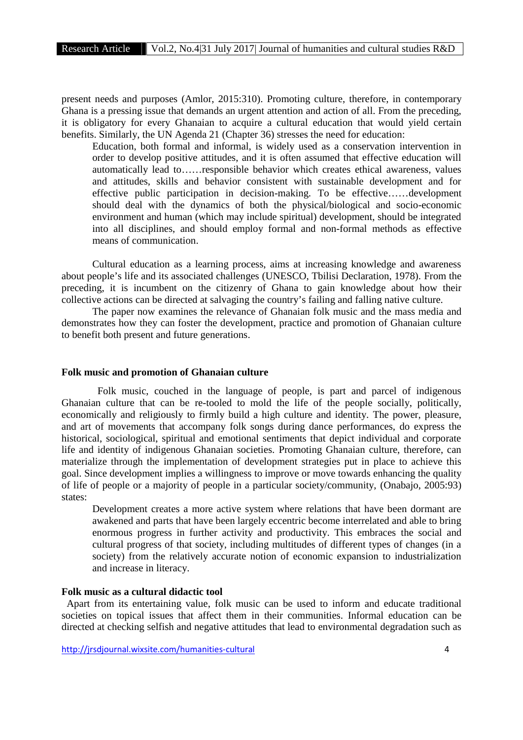present needs and purposes (Amlor, 2015:310). Promoting culture, therefore, in contemporary Ghana is a pressing issue that demands an urgent attention and action of all. From the preceding, it is obligatory for every Ghanaian to acquire a cultural education that would yield certain benefits. Similarly, the UN Agenda 21 (Chapter 36) stresses the need for education:

Education, both formal and informal, is widely used as a conservation intervention in order to develop positive attitudes, and it is often assumed that effective education will automatically lead to……responsible behavior which creates ethical awareness, values and attitudes, skills and behavior consistent with sustainable development and for effective public participation in decision-making. To be effective……development should deal with the dynamics of both the physical/biological and socio-economic environment and human (which may include spiritual) development, should be integrated into all disciplines, and should employ formal and non-formal methods as effective means of communication.

Cultural education as a learning process, aims at increasing knowledge and awareness about people's life and its associated challenges (UNESCO, Tbilisi Declaration, 1978). From the preceding, it is incumbent on the citizenry of Ghana to gain knowledge about how their collective actions can be directed at salvaging the country's failing and falling native culture.

The paper now examines the relevance of Ghanaian folk music and the mass media and demonstrates how they can foster the development, practice and promotion of Ghanaian culture to benefit both present and future generations.

#### **Folk music and promotion of Ghanaian culture**

Folk music, couched in the language of people, is part and parcel of indigenous Ghanaian culture that can be re-tooled to mold the life of the people socially, politically, economically and religiously to firmly build a high culture and identity. The power, pleasure, and art of movements that accompany folk songs during dance performances, do express the historical, sociological, spiritual and emotional sentiments that depict individual and corporate life and identity of indigenous Ghanaian societies. Promoting Ghanaian culture, therefore, can materialize through the implementation of development strategies put in place to achieve this goal. Since development implies a willingness to improve or move towards enhancing the quality of life of people or a majority of people in a particular society/community, (Onabajo, 2005:93) states:

Development creates a more active system where relations that have been dormant are awakened and parts that have been largely eccentric become interrelated and able to bring enormous progress in further activity and productivity. This embraces the social and cultural progress of that society, including multitudes of different types of changes (in a society) from the relatively accurate notion of economic expansion to industrialization and increase in literacy.

## **Folk music as a cultural didactic tool**

Apart from its entertaining value, folk music can be used to inform and educate traditional societies on topical issues that affect them in their communities. Informal education can be directed at checking selfish and negative attitudes that lead to environmental degradation such as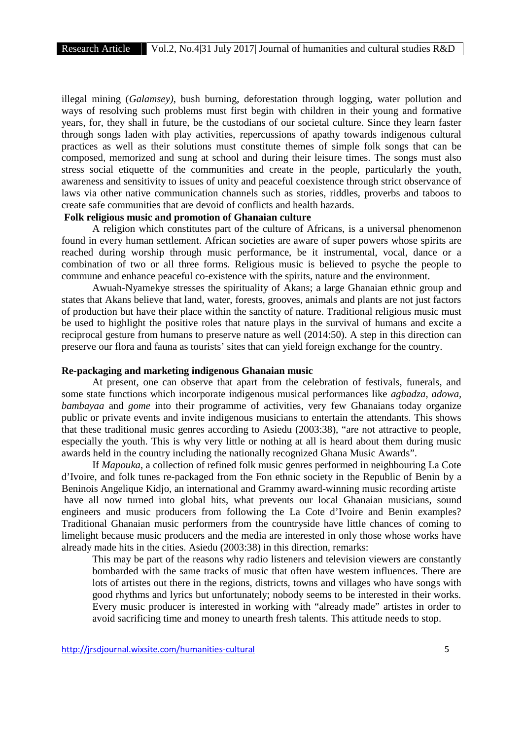illegal mining (*Galamsey)*, bush burning, deforestation through logging, water pollution and ways of resolving such problems must first begin with children in their young and formative years, for, they shall in future, be the custodians of our societal culture. Since they learn faster through songs laden with play activities, repercussions of apathy towards indigenous cultural practices as well as their solutions must constitute themes of simple folk songs that can be composed, memorized and sung at school and during their leisure times. The songs must also stress social etiquette of the communities and create in the people, particularly the youth, awareness and sensitivity to issues of unity and peaceful coexistence through strict observance of laws via other native communication channels such as stories, riddles, proverbs and taboos to create safe communities that are devoid of conflicts and health hazards.

## **Folk religious music and promotion of Ghanaian culture**

A religion which constitutes part of the culture of Africans, is a universal phenomenon found in every human settlement. African societies are aware of super powers whose spirits are reached during worship through music performance, be it instrumental, vocal, dance or a combination of two or all three forms. Religious music is believed to psyche the people to commune and enhance peaceful co-existence with the spirits, nature and the environment.

Awuah-Nyamekye stresses the spirituality of Akans; a large Ghanaian ethnic group and states that Akans believe that land, water, forests, grooves, animals and plants are not just factors of production but have their place within the sanctity of nature. Traditional religious music must be used to highlight the positive roles that nature plays in the survival of humans and excite a reciprocal gesture from humans to preserve nature as well (2014:50). A step in this direction can preserve our flora and fauna as tourists' sites that can yield foreign exchange for the country.

#### **Re-packaging and marketing indigenous Ghanaian music**

At present, one can observe that apart from the celebration of festivals, funerals, and some state functions which incorporate indigenous musical performances like *agbadza, adowa, bambayaa* and *gome* into their programme of activities, very few Ghanaians today organize public or private events and invite indigenous musicians to entertain the attendants. This shows that these traditional music genres according to Asiedu (2003:38), "are not attractive to people, especially the youth. This is why very little or nothing at all is heard about them during music awards held in the country including the nationally recognized Ghana Music Awards".

If *Mapouka*, a collection of refined folk music genres performed in neighbouring La Cote d'Ivoire, and folk tunes re-packaged from the Fon ethnic society in the Republic of Benin by a Beninois Angelique Kidjo, an international and Grammy award-winning music recording artiste have all now turned into global hits, what prevents our local Ghanaian musicians, sound engineers and music producers from following the La Cote d'Ivoire and Benin examples? Traditional Ghanaian music performers from the countryside have little chances of coming to limelight because music producers and the media are interested in only those whose works have already made hits in the cities. Asiedu (2003:38) in this direction, remarks:

This may be part of the reasons why radio listeners and television viewers are constantly bombarded with the same tracks of music that often have western influences. There are lots of artistes out there in the regions, districts, towns and villages who have songs with good rhythms and lyrics but unfortunately; nobody seems to be interested in their works. Every music producer is interested in working with "already made" artistes in order to avoid sacrificing time and money to unearth fresh talents. This attitude needs to stop.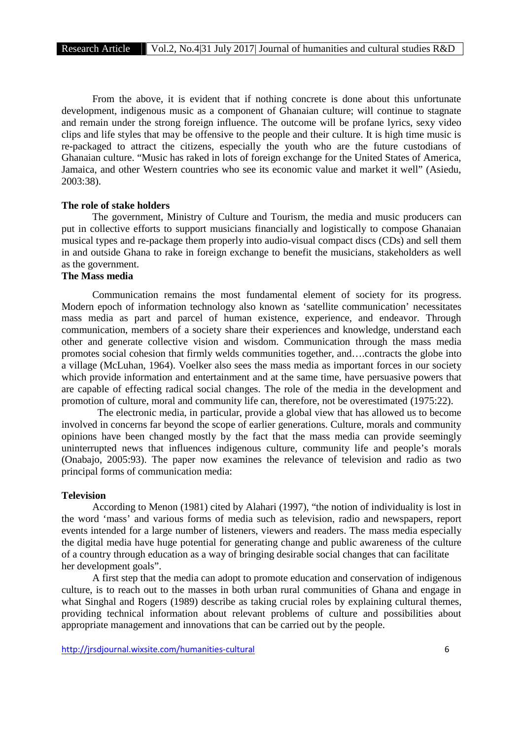From the above, it is evident that if nothing concrete is done about this unfortunate development, indigenous music as a component of Ghanaian culture; will continue to stagnate and remain under the strong foreign influence. The outcome will be profane lyrics, sexy video clips and life styles that may be offensive to the people and their culture. It is high time music is re-packaged to attract the citizens, especially the youth who are the future custodians of Ghanaian culture. "Music has raked in lots of foreign exchange for the United States of America, Jamaica, and other Western countries who see its economic value and market it well" (Asiedu, 2003:38).

#### **The role of stake holders**

The government, Ministry of Culture and Tourism, the media and music producers can put in collective efforts to support musicians financially and logistically to compose Ghanaian musical types and re-package them properly into audio-visual compact discs (CDs) and sell them in and outside Ghana to rake in foreign exchange to benefit the musicians, stakeholders as well as the government.

## **The Mass media**

Communication remains the most fundamental element of society for its progress. Modern epoch of information technology also known as 'satellite communication' necessitates mass media as part and parcel of human existence, experience, and endeavor. Through communication, members of a society share their experiences and knowledge, understand each other and generate collective vision and wisdom. Communication through the mass media promotes social cohesion that firmly welds communities together, and….contracts the globe into a village (McLuhan, 1964). Voelker also sees the mass media as important forces in our society which provide information and entertainment and at the same time, have persuasive powers that are capable of effecting radical social changes. The role of the media in the development and promotion of culture, moral and community life can, therefore, not be overestimated (1975:22).

The electronic media, in particular, provide a global view that has allowed us to become involved in concerns far beyond the scope of earlier generations. Culture, morals and community opinions have been changed mostly by the fact that the mass media can provide seemingly uninterrupted news that influences indigenous culture, community life and people's morals (Onabajo, 2005:93). The paper now examines the relevance of television and radio as two principal forms of communication media:

#### **Television**

According to Menon (1981) cited by Alahari (1997), "the notion of individuality is lost in the word 'mass' and various forms of media such as television, radio and newspapers, report events intended for a large number of listeners, viewers and readers. The mass media especially the digital media have huge potential for generating change and public awareness of the culture of a country through education as a way of bringing desirable social changes that can facilitate her development goals".

A first step that the media can adopt to promote education and conservation of indigenous culture, is to reach out to the masses in both urban rural communities of Ghana and engage in what Singhal and Rogers (1989) describe as taking crucial roles by explaining cultural themes, providing technical information about relevant problems of culture and possibilities about appropriate management and innovations that can be carried out by the people.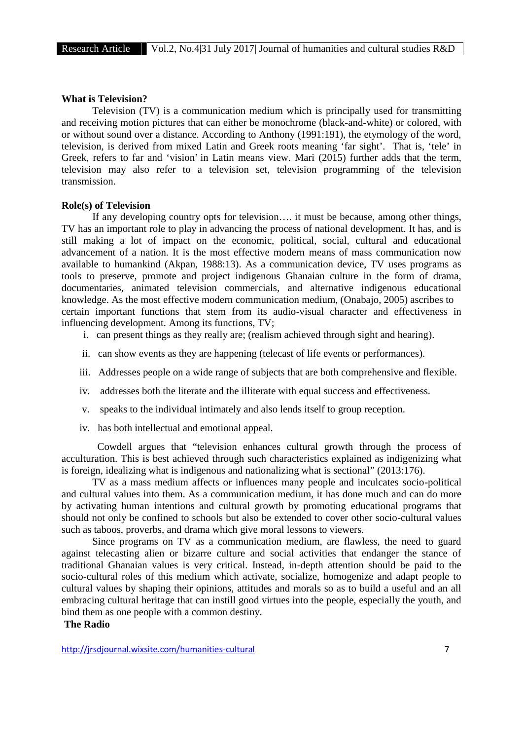#### **What is Television?**

Television (TV) is a communication medium which is principally used for transmitting and receiving motion pictures that can either be monochrome (black-and-white) or colored, with or without sound over a distance. According to Anthony (1991:191), the etymology of the word, television, is derived from mixed Latin and Greek roots meaning 'far sight'. That is, 'tele' in Greek, refers to far and 'vision' in Latin means view. Mari (2015) further adds that the term, television may also refer to a television set, television programming of the television transmission.

## **Role(s) of Television**

If any developing country opts for television…. it must be because, among other things, TV has an important role to play in advancing the process of national development. It has, and is still making a lot of impact on the economic, political, social, cultural and educational advancement of a nation. It is the most effective modern means of mass communication now available to humankind (Akpan, 1988:13). As a communication device, TV uses programs as tools to preserve, promote and project indigenous Ghanaian culture in the form of drama, documentaries, animated television commercials, and alternative indigenous educational knowledge. As the most effective modern communication medium, (Onabajo, 2005) ascribes to certain important functions that stem from its audio-visual character and effectiveness in influencing development. Among its functions, TV;

- i. can present things as they really are; (realism achieved through sight and hearing).
- ii. can show events as they are happening (telecast of life events or performances).
- iii. Addresses people on a wide range of subjects that are both comprehensive and flexible.
- iv. addresses both the literate and the illiterate with equal success and effectiveness.
- v. speaks to the individual intimately and also lends itself to group reception.
- iv. has both intellectual and emotional appeal.

Cowdell argues that "television enhances cultural growth through the process of acculturation. This is best achieved through such characteristics explained as indigenizing what is foreign, idealizing what is indigenous and nationalizing what is sectional" (2013:176).

TV as a mass medium affects or influences many people and inculcates socio-political and cultural values into them. As a communication medium, it has done much and can do more by activating human intentions and cultural growth by promoting educational programs that should not only be confined to schools but also be extended to cover other socio-cultural values such as taboos, proverbs, and drama which give moral lessons to viewers.

Since programs on TV as a communication medium, are flawless, the need to guard against telecasting alien or bizarre culture and social activities that endanger the stance of traditional Ghanaian values is very critical. Instead, in-depth attention should be paid to the socio-cultural roles of this medium which activate, socialize, homogenize and adapt people to cultural values by shaping their opinions, attitudes and morals so as to build a useful and an all embracing cultural heritage that can instill good virtues into the people, especially the youth, and bind them as one people with a common destiny.

## **The Radio**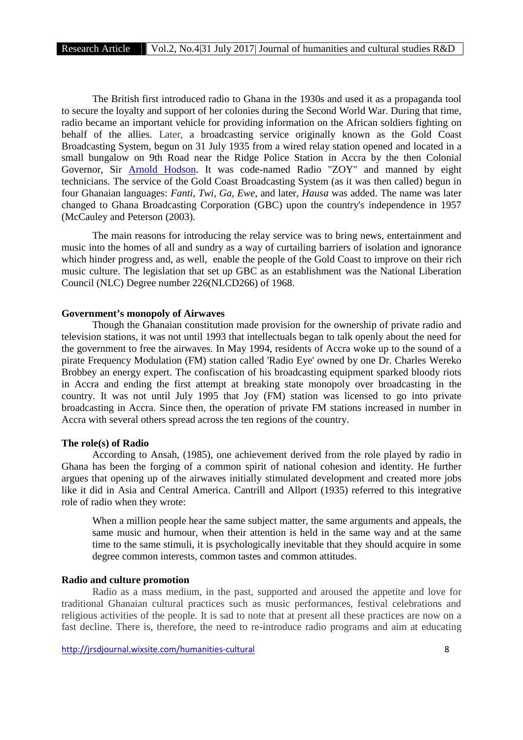The British first introduced radio to Ghana in the 1930s and used it as a propaganda tool to secure the loyalty and support of her colonies during the Second World War. During that time, radio became an important vehicle for providing information on the African soldiers fighting on behalf of the allies. Later, a broadcasting service originally known as the Gold Coast Broadcasting System, begun on 31 July 1935 from a wired relay station opened and located in a small bungalow on 9th Road near the Ridge Police Station in Accra by the then Colonial Governor, Sir Arnold Hodson. It was code-named Radio "ZOY" and manned by eight technicians. The service of the Gold Coast Broadcasting System (as it was then called) begun in four Ghanaian languages: *Fanti, Twi, Ga, Ewe*, and later, *Hausa* was added. The name was later changed to Ghana Broadcasting Corporation (GBC) upon the country's independence in 1957 (McCauley and Peterson (2003).

The main reasons for introducing the relay service was to bring news, entertainment and music into the homes of all and sundry as a way of curtailing barriers of isolation and ignorance which hinder progress and, as well, enable the people of the Gold Coast to improve on their rich music culture. The legislation that set up GBC as an establishment was the National Liberation Council (NLC) Degree number 226(NLCD266) of 1968.

## **Government's monopoly of Airwaves**

Though the Ghanaian constitution made provision for the ownership of private radio and television stations, it was not until 1993 that intellectuals began to talk openly about the need for the government to free the airwaves. In May 1994, residents of Accra woke up to the sound of a pirate Frequency Modulation (FM) station called 'Radio Eye' owned by one Dr. Charles Wereko Brobbey an energy expert. The confiscation of his broadcasting equipment sparked bloody riots in Accra and ending the first attempt at breaking state monopoly over broadcasting in the country. It was not until July 1995 that Joy (FM) station was licensed to go into private broadcasting in Accra. Since then, the operation of private FM stations increased in number in Accra with several others spread across the ten regions of the country.

#### **The role(s) of Radio**

According to Ansah, (1985), one achievement derived from the role played by radio in Ghana has been the forging of a common spirit of national cohesion and identity. He further argues that opening up of the airwaves initially stimulated development and created more jobs like it did in Asia and Central America. Cantrill and Allport (1935) referred to this integrative role of radio when they wrote:

When a million people hear the same subject matter, the same arguments and appeals, the same music and humour, when their attention is held in the same way and at the same time to the same stimuli, it is psychologically inevitable that they should acquire in some degree common interests, common tastes and common attitudes.

#### **Radio and culture promotion**

Radio as a mass medium, in the past, supported and aroused the appetite and love for traditional Ghanaian cultural practices such as music performances, festival celebrations and religious activities of the people. It is sad to note that at present all these practices are now on a fast decline. There is, therefore, the need to re-introduce radio programs and aim at educating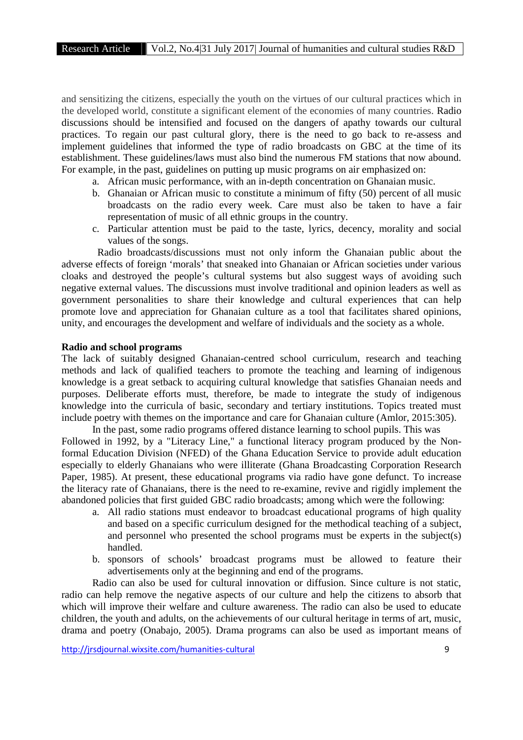and sensitizing the citizens, especially the youth on the virtues of our cultural practices which in the developed world, constitute a significant element of the economies of many countries. Radio discussions should be intensified and focused on the dangers of apathy towards our cultural practices. To regain our past cultural glory, there is the need to go back to re-assess and implement guidelines that informed the type of radio broadcasts on GBC at the time of its establishment. These guidelines/laws must also bind the numerous FM stations that now abound. For example, in the past, guidelines on putting up music programs on air emphasized on:

- a. African music performance, with an in-depth concentration on Ghanaian music.
- b. Ghanaian or African music to constitute a minimum of fifty (50) percent of all music broadcasts on the radio every week. Care must also be taken to have a fair representation of music of all ethnic groups in the country.
- c. Particular attention must be paid to the taste, lyrics, decency, morality and social values of the songs.

Radio broadcasts/discussions must not only inform the Ghanaian public about the adverse effects of foreign 'morals' that sneaked into Ghanaian or African societies under various cloaks and destroyed the people's cultural systems but also suggest ways of avoiding such negative external values. The discussions must involve traditional and opinion leaders as well as government personalities to share their knowledge and cultural experiences that can help promote love and appreciation for Ghanaian culture as a tool that facilitates shared opinions, unity, and encourages the development and welfare of individuals and the society as a whole.

## **Radio and school programs**

The lack of suitably designed Ghanaian-centred school curriculum, research and teaching methods and lack of qualified teachers to promote the teaching and learning of indigenous knowledge is a great setback to acquiring cultural knowledge that satisfies Ghanaian needs and purposes. Deliberate efforts must, therefore, be made to integrate the study of indigenous knowledge into the curricula of basic, secondary and tertiary institutions. Topics treated must include poetry with themes on the importance and care for Ghanaian culture (Amlor, 2015:305).

In the past, some radio programs offered distance learning to school pupils. This was Followed in 1992, by a "Literacy Line," a functional literacy program produced by the Nonformal Education Division (NFED) of the Ghana Education Service to provide adult education especially to elderly Ghanaians who were illiterate (Ghana Broadcasting Corporation Research Paper, 1985). At present, these educational programs via radio have gone defunct. To increase the literacy rate of Ghanaians, there is the need to re-examine, revive and rigidly implement the abandoned policies that first guided GBC radio broadcasts; among which were the following:

- a. All radio stations must endeavor to broadcast educational programs of high quality and based on a specific curriculum designed for the methodical teaching of a subject, and personnel who presented the school programs must be experts in the subject(s) handled.
- b. sponsors of schools' broadcast programs must be allowed to feature their advertisements only at the beginning and end of the programs.

Radio can also be used for cultural innovation or diffusion. Since culture is not static, radio can help remove the negative aspects of our culture and help the citizens to absorb that which will improve their welfare and culture awareness. The radio can also be used to educate children, the youth and adults, on the achievements of our cultural heritage in terms of art, music, drama and poetry (Onabajo, 2005). Drama programs can also be used as important means of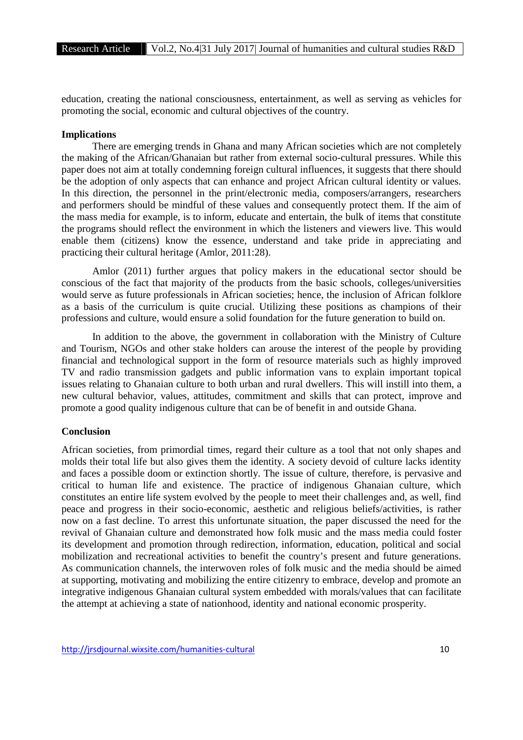education, creating the national consciousness, entertainment, as well as serving as vehicles for promoting the social, economic and cultural objectives of the country.

## **Implications**

There are emerging trends in Ghana and many African societies which are not completely the making of the African/Ghanaian but rather from external socio-cultural pressures. While this paper does not aim at totally condemning foreign cultural influences, it suggests that there should be the adoption of only aspects that can enhance and project African cultural identity or values. In this direction, the personnel in the print/electronic media, composers/arrangers, researchers and performers should be mindful of these values and consequently protect them. If the aim of the mass media for example, is to inform, educate and entertain, the bulk of items that constitute the programs should reflect the environment in which the listeners and viewers live. This would enable them (citizens) know the essence, understand and take pride in appreciating and practicing their cultural heritage (Amlor, 2011:28).

Amlor (2011) further argues that policy makers in the educational sector should be conscious of the fact that majority of the products from the basic schools, colleges/universities would serve as future professionals in African societies; hence, the inclusion of African folklore as a basis of the curriculum is quite crucial. Utilizing these positions as champions of their professions and culture, would ensure a solid foundation for the future generation to build on.

In addition to the above, the government in collaboration with the Ministry of Culture and Tourism, NGOs and other stake holders can arouse the interest of the people by providing financial and technological support in the form of resource materials such as highly improved TV and radio transmission gadgets and public information vans to explain important topical issues relating to Ghanaian culture to both urban and rural dwellers. This will instill into them, a new cultural behavior, values, attitudes, commitment and skills that can protect, improve and promote a good quality indigenous culture that can be of benefit in and outside Ghana.

## **Conclusion**

African societies, from primordial times, regard their culture as a tool that not only shapes and molds their total life but also gives them the identity. A society devoid of culture lacks identity and faces a possible doom or extinction shortly. The issue of culture, therefore, is pervasive and critical to human life and existence. The practice of indigenous Ghanaian culture, which constitutes an entire life system evolved by the people to meet their challenges and, as well, find peace and progress in their socio-economic, aesthetic and religious beliefs/activities, is rather now on a fast decline. To arrest this unfortunate situation, the paper discussed the need for the revival of Ghanaian culture and demonstrated how folk music and the mass media could foster its development and promotion through redirection, information, education, political and social mobilization and recreational activities to benefit the country's present and future generations. As communication channels, the interwoven roles of folk music and the media should be aimed at supporting, motivating and mobilizing the entire citizenry to embrace, develop and promote an integrative indigenous Ghanaian cultural system embedded with morals/values that can facilitate the attempt at achieving a state of nationhood, identity and national economic prosperity.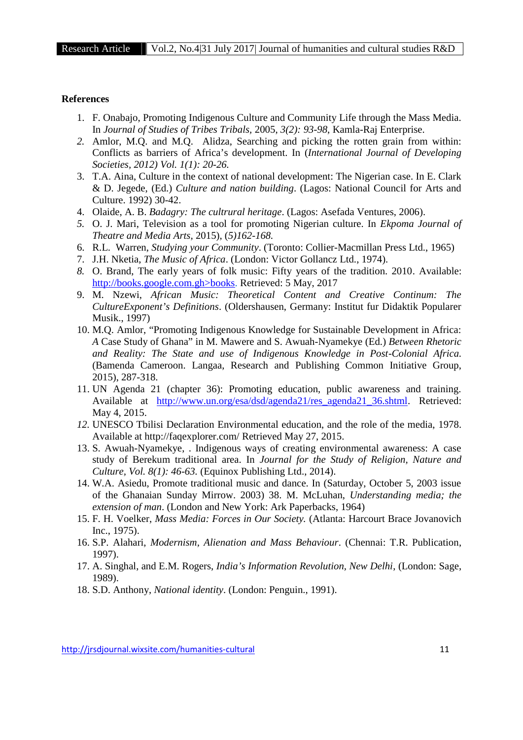#### **References**

- 1. F. Onabajo, Promoting Indigenous Culture and Community Life through the Mass Media. In *Journal of Studies of Tribes Tribals,* 2005, *3(2): 93-98*, Kamla-Raj Enterprise.
- *2.* Amlor, M.Q. and M.Q. Alidza, Searching and picking the rotten grain from within: Conflicts as barriers of Africa's development. In (*International Journal of Developing Societies, 2012) Vol. 1(1): 20-26.*
- 3. T.A. Aina, Culture in the context of national development: The Nigerian case. In E. Clark & D. Jegede, (Ed.) *Culture and nation building*. (Lagos: National Council for Arts and Culture. 1992) 30-42.
- 4. Olaide, A. B. *Badagry: The cultrural heritage*. (Lagos: Asefada Ventures, 2006).
- *5.* O. J. Mari, Television as a tool for promoting Nigerian culture. In *Ekpoma Journal of Theatre and Media Arts,* 2015), (*5)162-168.*
- 6. R.L. Warren, *Studying your Community*. (Toronto: Collier-Macmillan Press Ltd., 1965)
- 7. J.H. Nketia, *The Music of Africa*. (London: Victor Gollancz Ltd., 1974).
- *8.* O. Brand, The early years of folk music: Fifty years of the tradition. 2010. Available: http://books.google.com.gh>books. Retrieved: 5 May, 2017
- 9. M. Nzewi, *African Music: Theoretical Content and Creative Continum: The CultureExponent's Definitions*. (Oldershausen, Germany: Institut fur Didaktik Popularer Musik., 1997)
- 10. M.Q. Amlor, "Promoting Indigenous Knowledge for Sustainable Development in Africa: *A* Case Study of Ghana" in M. Mawere and S. Awuah-Nyamekye (Ed.) *Between Rhetoric and Reality: The State and use of Indigenous Knowledge in Post-Colonial Africa.* (Bamenda Cameroon. Langaa, Research and Publishing Common Initiative Group, 2015), 287-318.
- 11. UN Agenda 21 (chapter 36): Promoting education, public awareness and training. Available at http://www.un.org/esa/dsd/agenda21/res\_agenda21\_36.shtml. Retrieved: May 4, 2015.
- *12.* UNESCO Tbilisi Declaration Environmental education, and the role of the media, 1978. Available at http://faqexplorer.com/ Retrieved May 27, 2015.
- 13. S. Awuah-Nyamekye, . Indigenous ways of creating environmental awareness: A case study of Berekum traditional area. In *Journal for the Study of Religion, Nature and Culture, Vol. 8(1): 46-63.* (Equinox Publishing Ltd., 2014).
- 14. W.A. Asiedu, Promote traditional music and dance. In (Saturday, October 5, 2003 issue of the Ghanaian Sunday Mirrow. 2003) 38. M. McLuhan, *Understanding media; the extension of man*. (London and New York: Ark Paperbacks, 1964)
- 15. F. H. Voelker, *Mass Media: Forces in Our Society.* (Atlanta: Harcourt Brace Jovanovich Inc., 1975).
- 16. S.P. Alahari, *Modernism, Alienation and Mass Behaviour*. (Chennai: T.R. Publication, 1997).
- 17. A. Singhal, and E.M. Rogers, *India's Information Revolution, New Delhi*, (London: Sage, 1989).
- 18. S.D. Anthony, *National identity*. (London: Penguin., 1991).